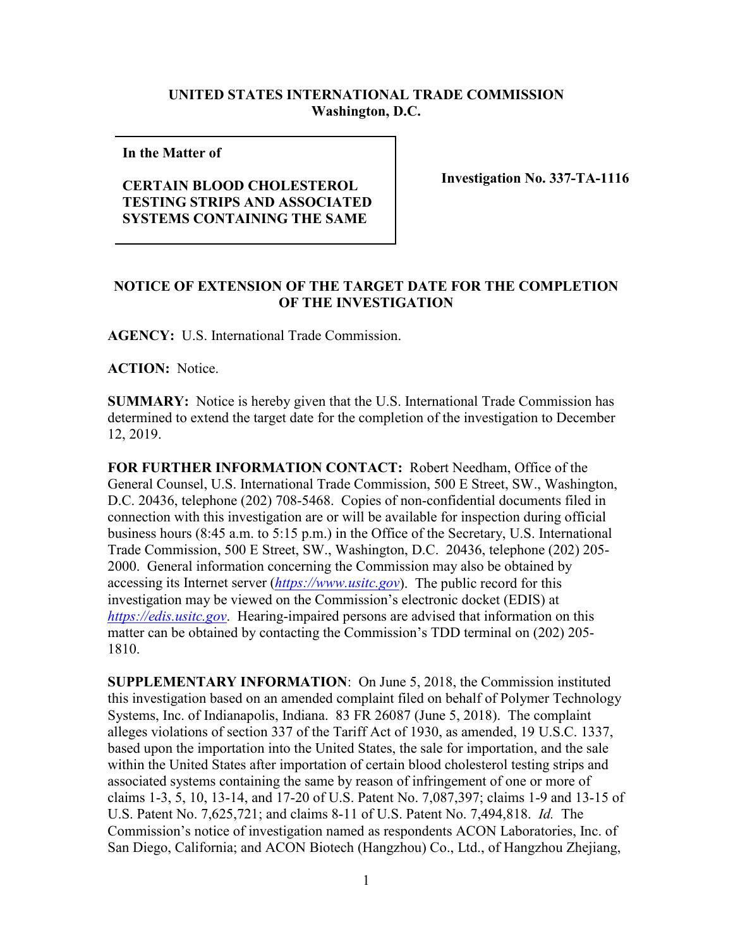## **UNITED STATES INTERNATIONAL TRADE COMMISSION Washington, D.C.**

**In the Matter of** 

## **CERTAIN BLOOD CHOLESTEROL TESTING STRIPS AND ASSOCIATED SYSTEMS CONTAINING THE SAME**

**Investigation No. 337-TA-1116**

## **NOTICE OF EXTENSION OF THE TARGET DATE FOR THE COMPLETION OF THE INVESTIGATION**

**AGENCY:** U.S. International Trade Commission.

**ACTION:** Notice.

**SUMMARY:** Notice is hereby given that the U.S. International Trade Commission has determined to extend the target date for the completion of the investigation to December 12, 2019.

**FOR FURTHER INFORMATION CONTACT:** Robert Needham, Office of the General Counsel, U.S. International Trade Commission, 500 E Street, SW., Washington, D.C. 20436, telephone (202) 708-5468. Copies of non-confidential documents filed in connection with this investigation are or will be available for inspection during official business hours (8:45 a.m. to 5:15 p.m.) in the Office of the Secretary, U.S. International Trade Commission, 500 E Street, SW., Washington, D.C. 20436, telephone (202) 205- 2000. General information concerning the Commission may also be obtained by accessing its Internet server (*[https://www.usitc.gov](https://www.usitc.gov/)*). The public record for this investigation may be viewed on the Commission's electronic docket (EDIS) at *[https://edis.usitc.gov](https://edis.usitc.gov/)*. Hearing-impaired persons are advised that information on this matter can be obtained by contacting the Commission's TDD terminal on (202) 205- 1810.

**SUPPLEMENTARY INFORMATION**: On June 5, 2018, the Commission instituted this investigation based on an amended complaint filed on behalf of Polymer Technology Systems, Inc. of Indianapolis, Indiana. 83 FR 26087 (June 5, 2018). The complaint alleges violations of section 337 of the Tariff Act of 1930, as amended, 19 U.S.C. 1337, based upon the importation into the United States, the sale for importation, and the sale within the United States after importation of certain blood cholesterol testing strips and associated systems containing the same by reason of infringement of one or more of claims 1-3, 5, 10, 13-14, and 17-20 of U.S. Patent No. 7,087,397; claims 1-9 and 13-15 of U.S. Patent No. 7,625,721; and claims 8-11 of U.S. Patent No. 7,494,818. *Id.* The Commission's notice of investigation named as respondents ACON Laboratories, Inc. of San Diego, California; and ACON Biotech (Hangzhou) Co., Ltd., of Hangzhou Zhejiang,